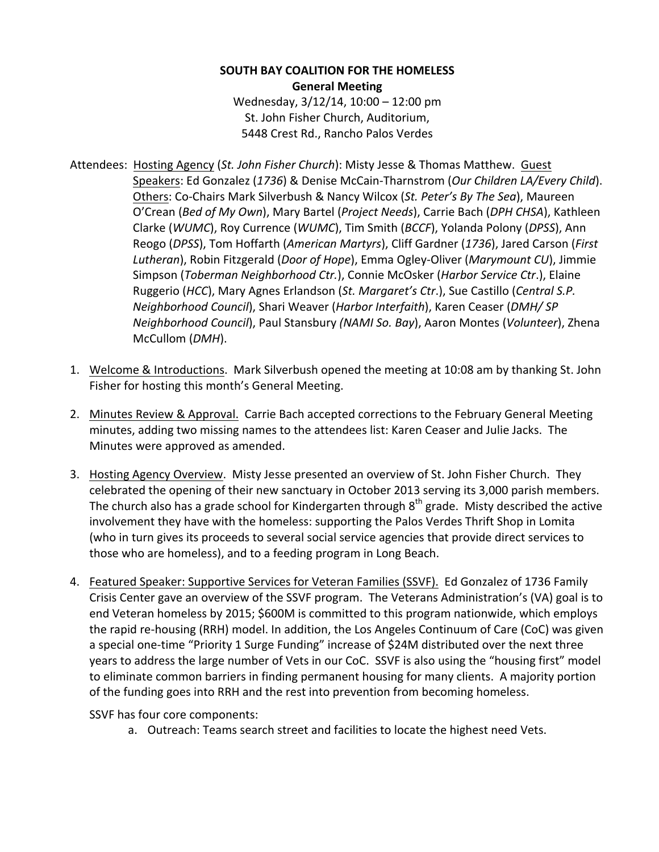**SOUTH BAY COALITION FOR THE HOMELESS General Meeting** Wednesday,  $3/12/14$ ,  $10:00 - 12:00$  pm St. John Fisher Church, Auditorium,

5448 Crest Rd., Rancho Palos Verdes

- Attendees: Hosting Agency (St. John Fisher Church): Misty Jesse & Thomas Matthew. Guest Speakers: Ed Gonzalez (1736) & Denise McCain-Tharnstrom (Our Children LA/Every Child). Others: Co-Chairs Mark Silverbush & Nancy Wilcox (St. Peter's By The Sea), Maureen O'Crean (*Bed of My Own*), Mary Bartel (*Project Needs*), Carrie Bach (*DPH CHSA*), Kathleen Clarke (WUMC), Roy Currence (WUMC), Tim Smith (*BCCF*), Yolanda Polony (*DPSS*), Ann Reogo (DPSS), Tom Hoffarth (American Martyrs), Cliff Gardner (1736), Jared Carson (First Lutheran), Robin Fitzgerald (*Door of Hope*), Emma Ogley-Oliver (Marymount CU), Jimmie Simpson (*Toberman Neighborhood Ctr.*), Connie McOsker (*Harbor Service Ctr.*), Elaine Ruggerio (*HCC*), Mary Agnes Erlandson (*St. Margaret's Ctr.*), Sue Castillo (*Central S.P. Neighborhood Council*), Shari Weaver (*Harbor Interfaith*), Karen Ceaser (*DMH/ SP Neighborhood Council*), Paul Stansbury *(NAMI So. Bay)*, Aaron Montes (Volunteer), Zhena McCullom (*DMH*).
- 1. Welcome & Introductions. Mark Silverbush opened the meeting at 10:08 am by thanking St. John Fisher for hosting this month's General Meeting.
- 2. Minutes Review & Approval. Carrie Bach accepted corrections to the February General Meeting minutes, adding two missing names to the attendees list: Karen Ceaser and Julie Jacks. The Minutes were approved as amended.
- 3. Hosting Agency Overview. Misty Jesse presented an overview of St. John Fisher Church. They celebrated the opening of their new sanctuary in October 2013 serving its 3,000 parish members. The church also has a grade school for Kindergarten through  $8<sup>th</sup>$  grade. Misty described the active involvement they have with the homeless: supporting the Palos Verdes Thrift Shop in Lomita (who in turn gives its proceeds to several social service agencies that provide direct services to those who are homeless), and to a feeding program in Long Beach.
- 4. Featured Speaker: Supportive Services for Veteran Families (SSVF). Ed Gonzalez of 1736 Family Crisis Center gave an overview of the SSVF program. The Veterans Administration's (VA) goal is to end Veteran homeless by 2015; \$600M is committed to this program nationwide, which employs the rapid re-housing (RRH) model. In addition, the Los Angeles Continuum of Care (CoC) was given a special one-time "Priority 1 Surge Funding" increase of \$24M distributed over the next three years to address the large number of Vets in our CoC. SSVF is also using the "housing first" model to eliminate common barriers in finding permanent housing for many clients. A majority portion of the funding goes into RRH and the rest into prevention from becoming homeless.

SSVF has four core components:

a. Outreach: Teams search street and facilities to locate the highest need Vets.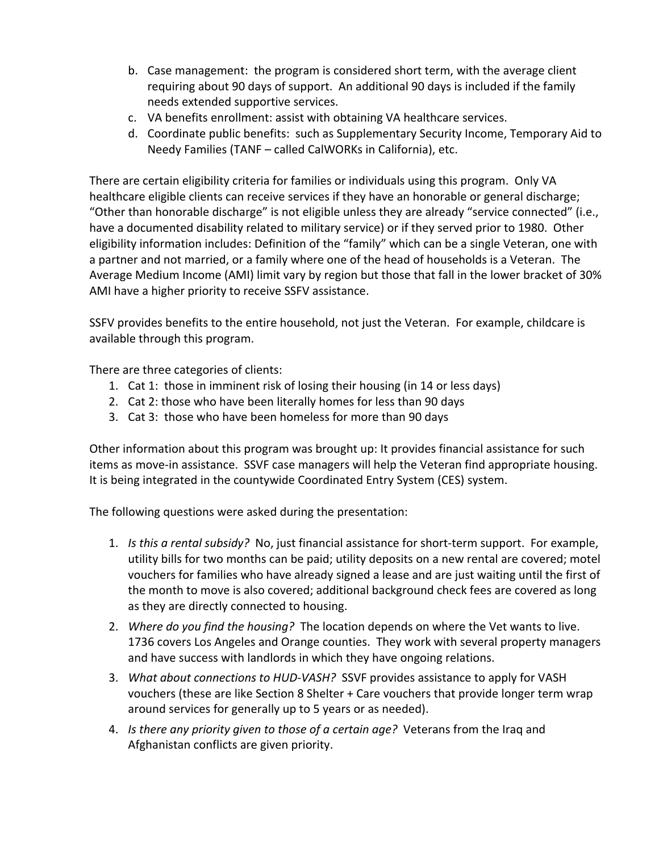- b. Case management: the program is considered short term, with the average client requiring about 90 days of support. An additional 90 days is included if the family needs extended supportive services.
- c. VA benefits enrollment: assist with obtaining VA healthcare services.
- d. Coordinate public benefits: such as Supplementary Security Income, Temporary Aid to Needy Families (TANF – called CalWORKs in California), etc.

There are certain eligibility criteria for families or individuals using this program. Only VA healthcare eligible clients can receive services if they have an honorable or general discharge; "Other than honorable discharge" is not eligible unless they are already "service connected" (i.e., have a documented disability related to military service) or if they served prior to 1980. Other eligibility information includes: Definition of the "family" which can be a single Veteran, one with a partner and not married, or a family where one of the head of households is a Veteran. The Average Medium Income (AMI) limit vary by region but those that fall in the lower bracket of 30% AMI have a higher priority to receive SSFV assistance.

SSFV provides benefits to the entire household, not just the Veteran. For example, childcare is available through this program.

There are three categories of clients:

- 1. Cat 1: those in imminent risk of losing their housing (in 14 or less days)
- 2. Cat 2: those who have been literally homes for less than 90 days
- 3. Cat 3: those who have been homeless for more than 90 days

Other information about this program was brought up: It provides financial assistance for such items as move-in assistance. SSVF case managers will help the Veteran find appropriate housing. It is being integrated in the countywide Coordinated Entry System (CES) system.

The following questions were asked during the presentation:

- 1. *Is this a rental subsidy?* No, just financial assistance for short-term support. For example, utility bills for two months can be paid; utility deposits on a new rental are covered; motel vouchers for families who have already signed a lease and are just waiting until the first of the month to move is also covered; additional background check fees are covered as long as they are directly connected to housing.
- 2. *Where do you find the housing?* The location depends on where the Vet wants to live. 1736 covers Los Angeles and Orange counties. They work with several property managers and have success with landlords in which they have ongoing relations.
- 3. *What about connections to HUD-VASH?* SSVF provides assistance to apply for VASH vouchers (these are like Section 8 Shelter  $+$  Care vouchers that provide longer term wrap around services for generally up to 5 years or as needed).
- 4. *Is there any priority given to those of a certain age?* Veterans from the Irag and Afghanistan conflicts are given priority.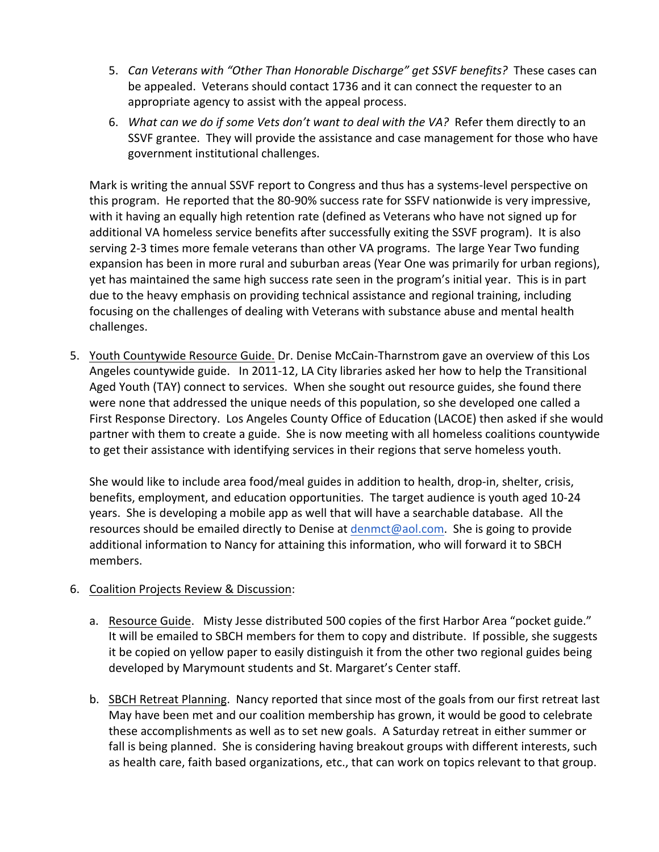- 5. *Can Veterans with "Other Than Honorable Discharge" get SSVF benefits?* These cases can be appealed. Veterans should contact 1736 and it can connect the requester to an appropriate agency to assist with the appeal process.
- 6. *What can we do if some Vets don't want to deal with the VA?* Refer them directly to an SSVF grantee. They will provide the assistance and case management for those who have government institutional challenges.

Mark is writing the annual SSVF report to Congress and thus has a systems-level perspective on this program. He reported that the 80-90% success rate for SSFV nationwide is very impressive, with it having an equally high retention rate (defined as Veterans who have not signed up for additional VA homeless service benefits after successfully exiting the SSVF program). It is also serving 2-3 times more female veterans than other VA programs. The large Year Two funding expansion has been in more rural and suburban areas (Year One was primarily for urban regions), yet has maintained the same high success rate seen in the program's initial year. This is in part due to the heavy emphasis on providing technical assistance and regional training, including focusing on the challenges of dealing with Veterans with substance abuse and mental health challenges.

5. Youth Countywide Resource Guide. Dr. Denise McCain-Tharnstrom gave an overview of this Los Angeles countywide guide. In 2011-12, LA City libraries asked her how to help the Transitional Aged Youth (TAY) connect to services. When she sought out resource guides, she found there were none that addressed the unique needs of this population, so she developed one called a First Response Directory. Los Angeles County Office of Education (LACOE) then asked if she would partner with them to create a guide. She is now meeting with all homeless coalitions countywide to get their assistance with identifying services in their regions that serve homeless youth.

She would like to include area food/meal guides in addition to health, drop-in, shelter, crisis, benefits, employment, and education opportunities. The target audience is youth aged 10-24 years. She is developing a mobile app as well that will have a searchable database. All the resources should be emailed directly to Denise at  $d$ enmct@aol.com. She is going to provide additional information to Nancy for attaining this information, who will forward it to SBCH members.

## 6. Coalition Projects Review & Discussion:

- a. Resource Guide. Misty Jesse distributed 500 copies of the first Harbor Area "pocket guide." It will be emailed to SBCH members for them to copy and distribute. If possible, she suggests it be copied on yellow paper to easily distinguish it from the other two regional guides being developed by Marymount students and St. Margaret's Center staff.
- b. SBCH Retreat Planning. Nancy reported that since most of the goals from our first retreat last May have been met and our coalition membership has grown, it would be good to celebrate these accomplishments as well as to set new goals. A Saturday retreat in either summer or fall is being planned. She is considering having breakout groups with different interests, such as health care, faith based organizations, etc., that can work on topics relevant to that group.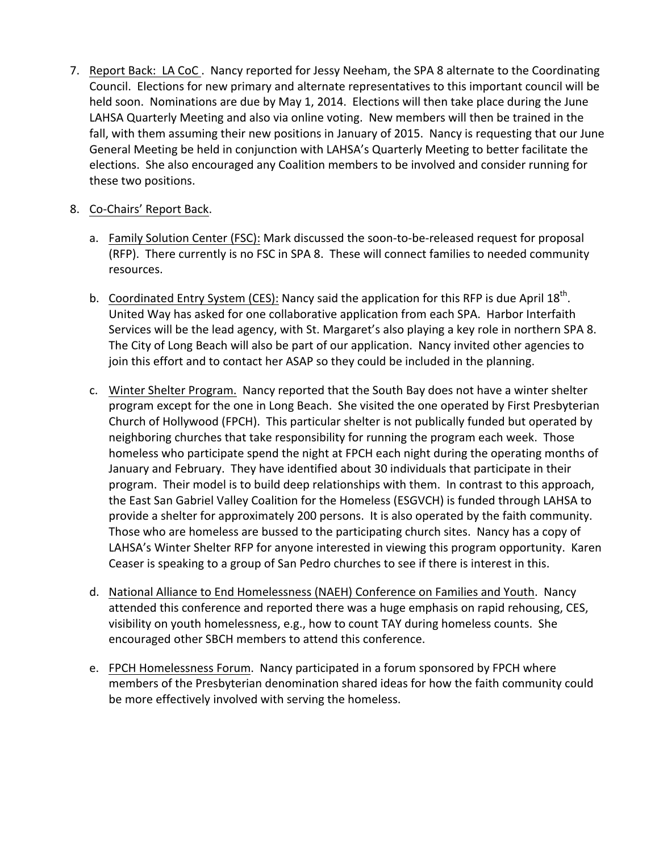7. Report Back: LA CoC. Nancy reported for Jessy Neeham, the SPA 8 alternate to the Coordinating Council. Elections for new primary and alternate representatives to this important council will be held soon. Nominations are due by May 1, 2014. Elections will then take place during the June LAHSA Quarterly Meeting and also via online voting. New members will then be trained in the fall, with them assuming their new positions in January of 2015. Nancy is requesting that our June General Meeting be held in conjunction with LAHSA's Quarterly Meeting to better facilitate the elections. She also encouraged any Coalition members to be involved and consider running for these two positions.

## 8. Co-Chairs' Report Back.

- a. Family Solution Center (FSC): Mark discussed the soon-to-be-released request for proposal (RFP). There currently is no FSC in SPA 8. These will connect families to needed community resources.
- b. Coordinated Entry System (CES): Nancy said the application for this RFP is due April  $18^{th}$ . United Way has asked for one collaborative application from each SPA. Harbor Interfaith Services will be the lead agency, with St. Margaret's also playing a key role in northern SPA 8. The City of Long Beach will also be part of our application. Nancy invited other agencies to join this effort and to contact her ASAP so they could be included in the planning.
- c. Winter Shelter Program. Nancy reported that the South Bay does not have a winter shelter program except for the one in Long Beach. She visited the one operated by First Presbyterian Church of Hollywood (FPCH). This particular shelter is not publically funded but operated by neighboring churches that take responsibility for running the program each week. Those homeless who participate spend the night at FPCH each night during the operating months of January and February. They have identified about 30 individuals that participate in their program. Their model is to build deep relationships with them. In contrast to this approach, the East San Gabriel Valley Coalition for the Homeless (ESGVCH) is funded through LAHSA to provide a shelter for approximately 200 persons. It is also operated by the faith community. Those who are homeless are bussed to the participating church sites. Nancy has a copy of LAHSA's Winter Shelter RFP for anyone interested in viewing this program opportunity. Karen Ceaser is speaking to a group of San Pedro churches to see if there is interest in this.
- d. National Alliance to End Homelessness (NAEH) Conference on Families and Youth. Nancy attended this conference and reported there was a huge emphasis on rapid rehousing, CES, visibility on youth homelessness, e.g., how to count TAY during homeless counts. She encouraged other SBCH members to attend this conference.
- e. FPCH Homelessness Forum. Nancy participated in a forum sponsored by FPCH where members of the Presbyterian denomination shared ideas for how the faith community could be more effectively involved with serving the homeless.